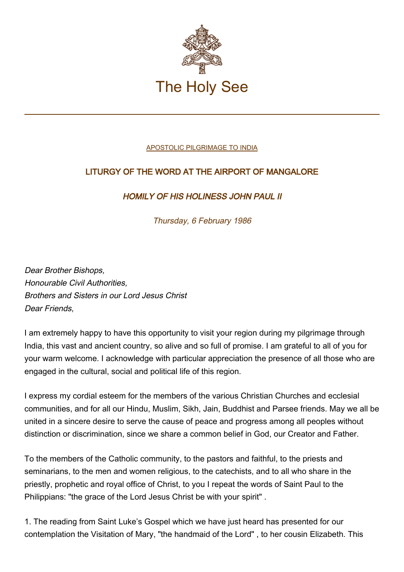

## [APOSTOLIC PILGRIMAGE TO INDIA](http://www.vatican.va/holy_father/john_paul_ii/travels/sub_index1986/trav_india.htm)

## LITURGY OF THE WORD AT THE AIRPORT OF MANGALORE

## HOMILY OF HIS HOLINESS JOHN PAUL II

Thursday, 6 February 1986

Dear Brother Bishops, Honourable Civil Authorities, Brothers and Sisters in our Lord Jesus Christ Dear Friends,

I am extremely happy to have this opportunity to visit your region during my pilgrimage through India, this vast and ancient country, so alive and so full of promise. I am grateful to all of you for your warm welcome. I acknowledge with particular appreciation the presence of all those who are engaged in the cultural, social and political life of this region.

I express my cordial esteem for the members of the various Christian Churches and ecclesial communities, and for all our Hindu, Muslim, Sikh, Jain, Buddhist and Parsee friends. May we all be united in a sincere desire to serve the cause of peace and progress among all peoples without distinction or discrimination, since we share a common belief in God, our Creator and Father.

To the members of the Catholic community, to the pastors and faithful, to the priests and seminarians, to the men and women religious, to the catechists, and to all who share in the priestly, prophetic and royal office of Christ, to you I repeat the words of Saint Paul to the Philippians: "the grace of the Lord Jesus Christ be with your spirit" .

1. The reading from Saint Luke's Gospel which we have just heard has presented for our contemplation the Visitation of Mary, "the handmaid of the Lord" , to her cousin Elizabeth. This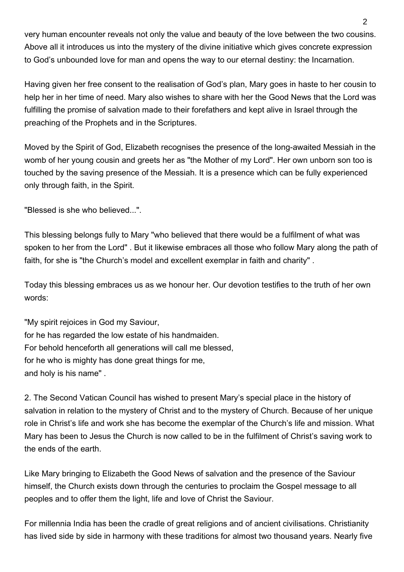very human encounter reveals not only the value and beauty of the love between the two cousins. Above all it introduces us into the mystery of the divine initiative which gives concrete expression to God's unbounded love for man and opens the way to our eternal destiny: the Incarnation.

Having given her free consent to the realisation of God's plan, Mary goes in haste to her cousin to help her in her time of need. Mary also wishes to share with her the Good News that the Lord was fulfilling the promise of salvation made to their forefathers and kept alive in Israel through the preaching of the Prophets and in the Scriptures.

Moved by the Spirit of God, Elizabeth recognises the presence of the long-awaited Messiah in the womb of her young cousin and greets her as "the Mother of my Lord". Her own unborn son too is touched by the saving presence of the Messiah. It is a presence which can be fully experienced only through faith, in the Spirit.

"Blessed is she who believed...".

This blessing belongs fully to Mary "who believed that there would be a fulfilment of what was spoken to her from the Lord" . But it likewise embraces all those who follow Mary along the path of faith, for she is "the Church's model and excellent exemplar in faith and charity" .

Today this blessing embraces us as we honour her. Our devotion testifies to the truth of her own words:

"My spirit rejoices in God my Saviour, for he has regarded the low estate of his handmaiden. For behold henceforth all generations will call me blessed, for he who is mighty has done great things for me. and holy is his name" .

2. The Second Vatican Council has wished to present Mary's special place in the history of salvation in relation to the mystery of Christ and to the mystery of Church. Because of her unique role in Christ's life and work she has become the exemplar of the Church's life and mission. What Mary has been to Jesus the Church is now called to be in the fulfilment of Christ's saving work to the ends of the earth.

Like Mary bringing to Elizabeth the Good News of salvation and the presence of the Saviour himself, the Church exists down through the centuries to proclaim the Gospel message to all peoples and to offer them the light, life and love of Christ the Saviour.

For millennia India has been the cradle of great religions and of ancient civilisations. Christianity has lived side by side in harmony with these traditions for almost two thousand years. Nearly five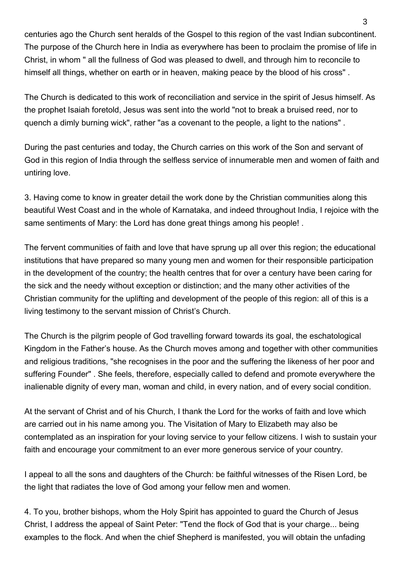centuries ago the Church sent heralds of the Gospel to this region of the vast Indian subcontinent. The purpose of the Church here in India as everywhere has been to proclaim the promise of life in Christ, in whom " all the fullness of God was pleased to dwell, and through him to reconcile to himself all things, whether on earth or in heaven, making peace by the blood of his cross" .

The Church is dedicated to this work of reconciliation and service in the spirit of Jesus himself. As the prophet Isaiah foretold, Jesus was sent into the world "not to break a bruised reed, nor to quench a dimly burning wick", rather "as a covenant to the people, a light to the nations" .

During the past centuries and today, the Church carries on this work of the Son and servant of God in this region of India through the selfless service of innumerable men and women of faith and untiring love.

3. Having come to know in greater detail the work done by the Christian communities along this beautiful West Coast and in the whole of Karnataka, and indeed throughout India, I rejoice with the same sentiments of Mary: the Lord has done great things among his people! .

The fervent communities of faith and love that have sprung up all over this region; the educational institutions that have prepared so many young men and women for their responsible participation in the development of the country; the health centres that for over a century have been caring for the sick and the needy without exception or distinction; and the many other activities of the Christian community for the uplifting and development of the people of this region: all of this is a living testimony to the servant mission of Christ's Church.

The Church is the pilgrim people of God travelling forward towards its goal, the eschatological Kingdom in the Father's house. As the Church moves among and together with other communities and religious traditions, "she recognises in the poor and the suffering the likeness of her poor and suffering Founder" . She feels, therefore, especially called to defend and promote everywhere the inalienable dignity of every man, woman and child, in every nation, and of every social condition.

At the servant of Christ and of his Church, I thank the Lord for the works of faith and love which are carried out in his name among you. The Visitation of Mary to Elizabeth may also be contemplated as an inspiration for your loving service to your fellow citizens. I wish to sustain your faith and encourage your commitment to an ever more generous service of your country.

I appeal to all the sons and daughters of the Church: be faithful witnesses of the Risen Lord, be the light that radiates the love of God among your fellow men and women.

4. To you, brother bishops, whom the Holy Spirit has appointed to guard the Church of Jesus Christ, I address the appeal of Saint Peter: "Tend the flock of God that is your charge... being examples to the flock. And when the chief Shepherd is manifested, you will obtain the unfading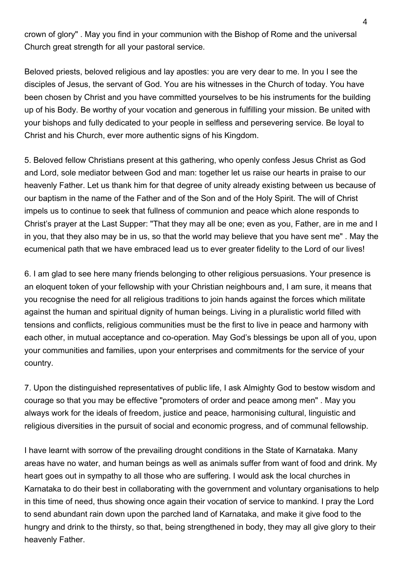crown of glory" . May you find in your communion with the Bishop of Rome and the universal Church great strength for all your pastoral service.

Beloved priests, beloved religious and lay apostles: you are very dear to me. In you I see the disciples of Jesus, the servant of God. You are his witnesses in the Church of today. You have been chosen by Christ and you have committed yourselves to be his instruments for the building up of his Body. Be worthy of your vocation and generous in fulfilling your mission. Be united with your bishops and fully dedicated to your people in selfless and persevering service. Be loyal to Christ and his Church, ever more authentic signs of his Kingdom.

5. Beloved fellow Christians present at this gathering, who openly confess Jesus Christ as God and Lord, sole mediator between God and man: together let us raise our hearts in praise to our heavenly Father. Let us thank him for that degree of unity already existing between us because of our baptism in the name of the Father and of the Son and of the Holy Spirit. The will of Christ impels us to continue to seek that fullness of communion and peace which alone responds to Christ's prayer at the Last Supper: "That they may all be one; even as you, Father, are in me and I in you, that they also may be in us, so that the world may believe that you have sent me" . May the ecumenical path that we have embraced lead us to ever greater fidelity to the Lord of our lives!

6. I am glad to see here many friends belonging to other religious persuasions. Your presence is an eloquent token of your fellowship with your Christian neighbours and, I am sure, it means that you recognise the need for all religious traditions to join hands against the forces which militate against the human and spiritual dignity of human beings. Living in a pluralistic world filled with tensions and conflicts, religious communities must be the first to live in peace and harmony with each other, in mutual acceptance and co-operation. May God's blessings be upon all of you, upon your communities and families, upon your enterprises and commitments for the service of your country.

7. Upon the distinguished representatives of public life, I ask Almighty God to bestow wisdom and courage so that you may be effective "promoters of order and peace among men" . May you always work for the ideals of freedom, justice and peace, harmonising cultural, linguistic and religious diversities in the pursuit of social and economic progress, and of communal fellowship.

I have learnt with sorrow of the prevailing drought conditions in the State of Karnataka. Many areas have no water, and human beings as well as animals suffer from want of food and drink. My heart goes out in sympathy to all those who are suffering. I would ask the local churches in Karnataka to do their best in collaborating with the government and voluntary organisations to help in this time of need, thus showing once again their vocation of service to mankind. I pray the Lord to send abundant rain down upon the parched land of Karnataka, and make it give food to the hungry and drink to the thirsty, so that, being strengthened in body, they may all give glory to their heavenly Father.